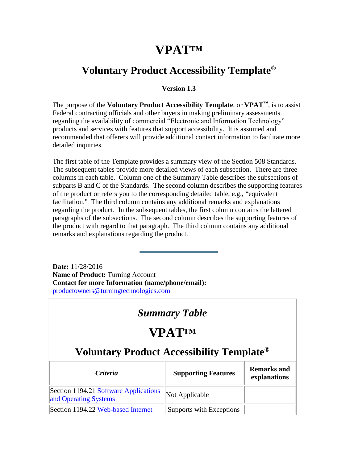### **VPAT™**

#### <span id="page-0-0"></span>**Voluntary Product Accessibility Template®**

#### **Version 1.3**

The purpose of the **Voluntary Product Accessibility Template**, or **VPAT™**, is to assist Federal contracting officials and other buyers in making preliminary assessments regarding the availability of commercial "Electronic and Information Technology" products and services with features that support accessibility. It is assumed and recommended that offerers will provide additional contact information to facilitate more detailed inquiries.

The first table of the Template provides a summary view of the Section 508 Standards. The subsequent tables provide more detailed views of each subsection. There are three columns in each table. Column one of the Summary Table describes the subsections of subparts B and C of the Standards. The second column describes the supporting features of the product or refers you to the corresponding detailed table, e.g., "equivalent facilitation." The third column contains any additional remarks and explanations regarding the product. In the subsequent tables, the first column contains the lettered paragraphs of the subsections. The second column describes the supporting features of the product with regard to that paragraph. The third column contains any additional remarks and explanations regarding the product.

**Date:** 11/28/2016 **Name of Product:** Turning Account **Contact for more Information (name/phone/email):** [productowners@turningtechnologies.com](mailto:productowners@turningtechnologies.com)

#### *Summary Table*

## **VPAT™**

| <i>Criteria</i>                                                | <b>Supporting Features</b> | <b>Remarks and</b><br>explanations |
|----------------------------------------------------------------|----------------------------|------------------------------------|
| Section 1194.21 Software Applications<br>and Operating Systems | Not Applicable             |                                    |
| Section 1194.22 Web-based Internet                             | Supports with Exceptions   |                                    |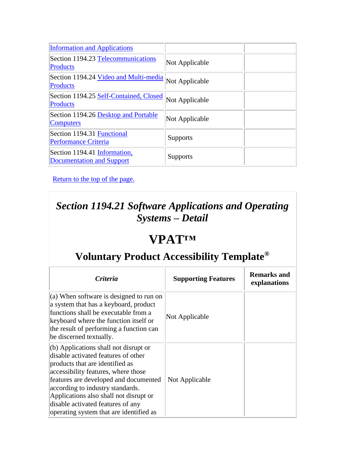| <b>Information and Applications</b>                              |                 |
|------------------------------------------------------------------|-----------------|
| Section 1194.23 Telecommunications<br><b>Products</b>            | Not Applicable  |
| Section 1194.24 Video and Multi-media<br><b>Products</b>         | Not Applicable  |
| Section 1194.25 Self-Contained, Closed<br><b>Products</b>        | Not Applicable  |
| Section 1194.26 Desktop and Portable<br>Computers                | Not Applicable  |
| Section 1194.31 Functional<br><b>Performance Criteria</b>        | <b>Supports</b> |
| Section 1194.41 Information,<br><b>Documentation and Support</b> | <b>Supports</b> |

### *Section 1194.21 Software Applications and Operating Systems – Detail*

## **VPAT™**

| <i>Criteria</i>                                                                                                                                                                                                                                                                                                                                                 | <b>Supporting Features</b> | Remarks and<br>explanations |
|-----------------------------------------------------------------------------------------------------------------------------------------------------------------------------------------------------------------------------------------------------------------------------------------------------------------------------------------------------------------|----------------------------|-----------------------------|
| $(a)$ When software is designed to run on<br>a system that has a keyboard, product<br>functions shall be executable from a<br>keyboard where the function itself or<br>the result of performing a function can<br>be discerned textually.                                                                                                                       | Not Applicable             |                             |
| $(6)$ Applications shall not disrupt or<br>disable activated features of other<br>products that are identified as<br>accessibility features, where those<br>features are developed and documented<br>according to industry standards.<br>Applications also shall not disrupt or<br>disable activated features of any<br>operating system that are identified as | Not Applicable             |                             |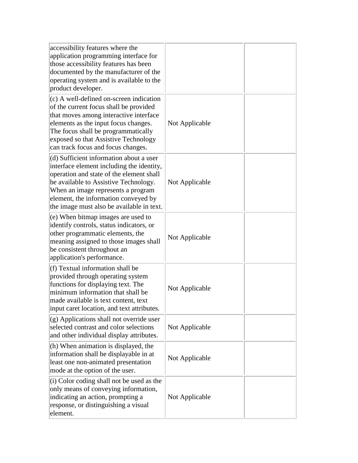| accessibility features where the<br>application programming interface for<br>those accessibility features has been<br>documented by the manufacturer of the<br>operating system and is available to the<br>product developer.                                                                        |                |  |
|------------------------------------------------------------------------------------------------------------------------------------------------------------------------------------------------------------------------------------------------------------------------------------------------------|----------------|--|
| (c) A well-defined on-screen indication<br>of the current focus shall be provided<br>that moves among interactive interface<br>elements as the input focus changes.<br>The focus shall be programmatically<br>exposed so that Assistive Technology<br>can track focus and focus changes.             | Not Applicable |  |
| (d) Sufficient information about a user<br>interface element including the identity,<br>operation and state of the element shall<br>be available to Assistive Technology.<br>When an image represents a program<br>element, the information conveyed by<br>the image must also be available in text. | Not Applicable |  |
| (e) When bitmap images are used to<br>identify controls, status indicators, or<br>other programmatic elements, the<br>meaning assigned to those images shall<br>be consistent throughout an<br>application's performance.                                                                            | Not Applicable |  |
| (f) Textual information shall be<br>provided through operating system<br>functions for displaying text. The<br>minimum information that shall be<br>made available is text content, text<br>input caret location, and text attributes.                                                               | Not Applicable |  |
| $(g)$ Applications shall not override user<br>selected contrast and color selections<br>and other individual display attributes.                                                                                                                                                                     | Not Applicable |  |
| (h) When animation is displayed, the<br>information shall be displayable in at<br>least one non-animated presentation<br>mode at the option of the user.                                                                                                                                             | Not Applicable |  |
| (i) Color coding shall not be used as the<br>only means of conveying information,<br>indicating an action, prompting a<br>response, or distinguishing a visual<br>element.                                                                                                                           | Not Applicable |  |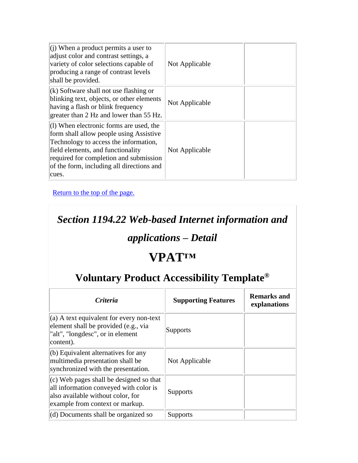| $(i)$ When a product permits a user to<br>adjust color and contrast settings, a<br>variety of color selections capable of<br>producing a range of contrast levels<br>shall be provided.                                                                            | Not Applicable |  |
|--------------------------------------------------------------------------------------------------------------------------------------------------------------------------------------------------------------------------------------------------------------------|----------------|--|
| $(k)$ Software shall not use flashing or<br>blinking text, objects, or other elements<br>having a flash or blink frequency<br>greater than 2 Hz and lower than 55 Hz.                                                                                              | Not Applicable |  |
| $(1)$ When electronic forms are used, the<br>form shall allow people using Assistive<br>Technology to access the information,<br>field elements, and functionality<br>required for completion and submission<br>of the form, including all directions and<br>cues. | Not Applicable |  |

*Section 1194.22 Web-based Internet information and* 

### *applications – Detail*

# **VPAT™**

| <i>Criteria</i>                                                                                                                                             | <b>Supporting Features</b> | <b>Remarks and</b><br>explanations |
|-------------------------------------------------------------------------------------------------------------------------------------------------------------|----------------------------|------------------------------------|
| $(a)$ A text equivalent for every non-text<br>element shall be provided (e.g., via<br>"alt", "longdesc", or in element<br>content).                         | Supports                   |                                    |
| $(6)$ Equivalent alternatives for any<br>multimedia presentation shall be<br>synchronized with the presentation.                                            | Not Applicable             |                                    |
| $(c)$ Web pages shall be designed so that<br>all information conveyed with color is<br>also available without color, for<br>example from context or markup. | <b>Supports</b>            |                                    |
| $(d)$ Documents shall be organized so                                                                                                                       | Supports                   |                                    |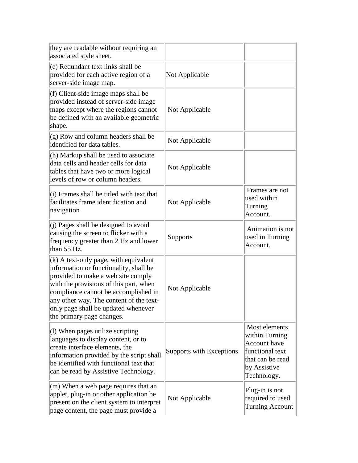| they are readable without requiring an<br>associated style sheet.                                                                                                                                                                                                                                                        |                          |                                                                                                                       |
|--------------------------------------------------------------------------------------------------------------------------------------------------------------------------------------------------------------------------------------------------------------------------------------------------------------------------|--------------------------|-----------------------------------------------------------------------------------------------------------------------|
| (e) Redundant text links shall be<br>provided for each active region of a<br>server-side image map.                                                                                                                                                                                                                      | Not Applicable           |                                                                                                                       |
| (f) Client-side image maps shall be<br>provided instead of server-side image<br>maps except where the regions cannot<br>be defined with an available geometric<br>shape.                                                                                                                                                 | Not Applicable           |                                                                                                                       |
| $(g)$ Row and column headers shall be<br>identified for data tables.                                                                                                                                                                                                                                                     | Not Applicable           |                                                                                                                       |
| (h) Markup shall be used to associate<br>data cells and header cells for data<br>tables that have two or more logical<br>levels of row or column headers.                                                                                                                                                                | Not Applicable           |                                                                                                                       |
| (i) Frames shall be titled with text that<br>facilitates frame identification and<br>navigation                                                                                                                                                                                                                          | Not Applicable           | Frames are not<br>used within<br>Turning<br>Account.                                                                  |
| (j) Pages shall be designed to avoid<br>causing the screen to flicker with a<br>frequency greater than 2 Hz and lower<br>than 55 Hz.                                                                                                                                                                                     | Supports                 | Animation is not<br>used in Turning<br>Account.                                                                       |
| $(k)$ A text-only page, with equivalent<br>information or functionality, shall be<br>provided to make a web site comply<br>with the provisions of this part, when<br>compliance cannot be accomplished in<br>any other way. The content of the text-<br>only page shall be updated whenever<br>the primary page changes. | Not Applicable           |                                                                                                                       |
| $(1)$ When pages utilize scripting<br>languages to display content, or to<br>create interface elements, the<br>information provided by the script shall<br>be identified with functional text that<br>can be read by Assistive Technology.                                                                               | Supports with Exceptions | Most elements<br>within Turning<br>Account have<br>functional text<br>that can be read<br>by Assistive<br>Technology. |
| $(m)$ When a web page requires that an<br>applet, plug-in or other application be<br>present on the client system to interpret<br>page content, the page must provide a                                                                                                                                                  | Not Applicable           | Plug-in is not<br>required to used<br><b>Turning Account</b>                                                          |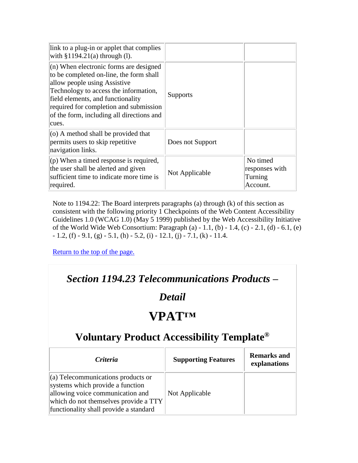| link to a plug-in or applet that complies<br>with $§1194.21(a)$ through (1).                                                                                                                                                                                                                      |                  |                                                   |
|---------------------------------------------------------------------------------------------------------------------------------------------------------------------------------------------------------------------------------------------------------------------------------------------------|------------------|---------------------------------------------------|
| $(n)$ When electronic forms are designed<br>to be completed on-line, the form shall<br>allow people using Assistive<br>Technology to access the information,<br>field elements, and functionality<br>required for completion and submission<br>of the form, including all directions and<br>cues. | Supports         |                                                   |
| $(0)$ A method shall be provided that<br>permits users to skip repetitive<br>navigation links.                                                                                                                                                                                                    | Does not Support |                                                   |
| $($ p) When a timed response is required,<br>the user shall be alerted and given<br>sufficient time to indicate more time is<br>required.                                                                                                                                                         | Not Applicable   | No timed<br>responses with<br>Turning<br>Account. |

Note to 1194.22: The Board interprets paragraphs (a) through (k) of this section as consistent with the following priority 1 Checkpoints of the Web Content Accessibility Guidelines 1.0 (WCAG 1.0) (May 5 1999) published by the Web Accessibility Initiative of the World Wide Web Consortium: Paragraph (a) - 1.1, (b) - 1.4, (c) - 2.1, (d) - 6.1, (e)  $-1.2$ , (f)  $-9.1$ , (g)  $-5.1$ , (h)  $-5.2$ , (i)  $-12.1$ , (j)  $-7.1$ , (k)  $-11.4$ .

[Return to the top of the page.](#page-0-0)

#### *Section 1194.23 Telecommunications Products –*

#### *Detail*

## **VPAT™**

| <i>Criteria</i>                                                                                                                                                                                      | <b>Supporting Features</b> | <b>Remarks and</b><br>explanations |
|------------------------------------------------------------------------------------------------------------------------------------------------------------------------------------------------------|----------------------------|------------------------------------|
| $\alpha$ ) Telecommunications products or<br>systems which provide a function<br>allowing voice communication and<br>which do not themselves provide a TTY<br>functionality shall provide a standard | Not Applicable             |                                    |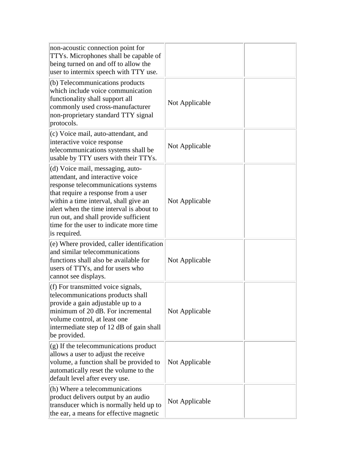| non-acoustic connection point for<br>TTYs. Microphones shall be capable of<br>being turned on and off to allow the<br>user to intermix speech with TTY use.                                                                                                                                                                                 |                |  |
|---------------------------------------------------------------------------------------------------------------------------------------------------------------------------------------------------------------------------------------------------------------------------------------------------------------------------------------------|----------------|--|
| (b) Telecommunications products<br>which include voice communication<br>functionality shall support all<br>commonly used cross-manufacturer<br>non-proprietary standard TTY signal<br>protocols.                                                                                                                                            | Not Applicable |  |
| (c) Voice mail, auto-attendant, and<br>interactive voice response<br>telecommunications systems shall be<br>usable by TTY users with their TTYs.                                                                                                                                                                                            | Not Applicable |  |
| (d) Voice mail, messaging, auto-<br>attendant, and interactive voice<br>response telecommunications systems<br>that require a response from a user<br>within a time interval, shall give an<br>alert when the time interval is about to<br>run out, and shall provide sufficient<br>time for the user to indicate more time<br>is required. | Not Applicable |  |
| (e) Where provided, caller identification<br>and similar telecommunications<br>functions shall also be available for<br>users of TTYs, and for users who<br>cannot see displays.                                                                                                                                                            | Not Applicable |  |
| (f) For transmitted voice signals,<br>telecommunications products shall<br>provide a gain adjustable up to a<br>minimum of 20 dB. For incremental<br>volume control, at least one<br>intermediate step of 12 dB of gain shall<br>be provided.                                                                                               | Not Applicable |  |
| $(g)$ If the telecommunications product<br>allows a user to adjust the receive<br>volume, a function shall be provided to<br>automatically reset the volume to the<br>default level after every use.                                                                                                                                        | Not Applicable |  |
| (h) Where a telecommunications<br>product delivers output by an audio<br>transducer which is normally held up to<br>the ear, a means for effective magnetic                                                                                                                                                                                 | Not Applicable |  |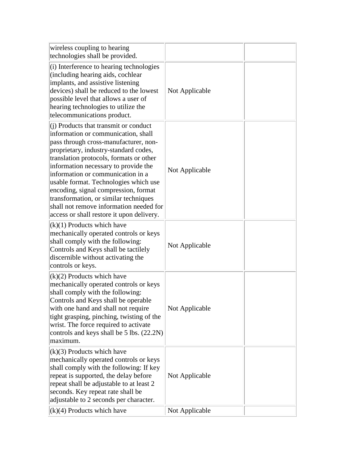| wireless coupling to hearing<br>technologies shall be provided.                                                                                                                                                                                                                                                                                                                                                                                                                                          |                |  |
|----------------------------------------------------------------------------------------------------------------------------------------------------------------------------------------------------------------------------------------------------------------------------------------------------------------------------------------------------------------------------------------------------------------------------------------------------------------------------------------------------------|----------------|--|
| (i) Interference to hearing technologies<br>(including hearing aids, cochlear<br>implants, and assistive listening<br>devices) shall be reduced to the lowest<br>possible level that allows a user of<br>hearing technologies to utilize the<br>telecommunications product.                                                                                                                                                                                                                              | Not Applicable |  |
| (i) Products that transmit or conduct<br>information or communication, shall<br>pass through cross-manufacturer, non-<br>proprietary, industry-standard codes,<br>translation protocols, formats or other<br>information necessary to provide the<br>information or communication in a<br>usable format. Technologies which use<br>encoding, signal compression, format<br>transformation, or similar techniques<br>shall not remove information needed for<br>access or shall restore it upon delivery. | Not Applicable |  |
| $(k)(1)$ Products which have<br>mechanically operated controls or keys<br>shall comply with the following:<br>Controls and Keys shall be tactilely<br>discernible without activating the<br>controls or keys.                                                                                                                                                                                                                                                                                            | Not Applicable |  |
| $(k)(2)$ Products which have<br>mechanically operated controls or keys<br>shall comply with the following:<br>Controls and Keys shall be operable<br>with one hand and shall not require<br>tight grasping, pinching, twisting of the<br>wrist. The force required to activate<br>controls and keys shall be 5 lbs. (22.2N)<br>maximum.                                                                                                                                                                  | Not Applicable |  |
| $(k)(3)$ Products which have<br>mechanically operated controls or keys<br>shall comply with the following: If key<br>repeat is supported, the delay before<br>repeat shall be adjustable to at least 2<br>seconds. Key repeat rate shall be<br>adjustable to 2 seconds per character.                                                                                                                                                                                                                    | Not Applicable |  |
| $(k)(4)$ Products which have                                                                                                                                                                                                                                                                                                                                                                                                                                                                             | Not Applicable |  |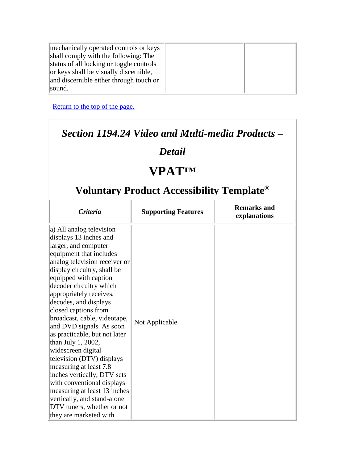| mechanically operated controls or keys   |  |
|------------------------------------------|--|
| shall comply with the following: The     |  |
| status of all locking or toggle controls |  |
| or keys shall be visually discernible,   |  |
| and discernible either through touch or  |  |
| sound.                                   |  |

#### *Section 1194.24 Video and Multi-media Products –*

#### *Detail*

# **VPAT™**

| <b>Criteria</b>                                                                                                                                                                                                                                                                                                                                                                                                                                                                                                                                                                                                                                                                           | <b>Supporting Features</b> | <b>Remarks and</b><br>explanations |
|-------------------------------------------------------------------------------------------------------------------------------------------------------------------------------------------------------------------------------------------------------------------------------------------------------------------------------------------------------------------------------------------------------------------------------------------------------------------------------------------------------------------------------------------------------------------------------------------------------------------------------------------------------------------------------------------|----------------------------|------------------------------------|
| a) All analog television<br>displays 13 inches and<br>larger, and computer<br>equipment that includes<br>analog television receiver or<br>display circuitry, shall be<br>equipped with caption<br>decoder circuitry which<br>appropriately receives,<br>decodes, and displays<br>closed captions from<br>broadcast, cable, videotape,<br>and DVD signals. As soon<br>as practicable, but not later<br>than July 1, 2002,<br>widescreen digital<br>television (DTV) displays<br>measuring at least 7.8<br>inches vertically, DTV sets<br>with conventional displays<br>measuring at least 13 inches<br>vertically, and stand-alone<br>DTV tuners, whether or not<br>they are marketed with | Not Applicable             |                                    |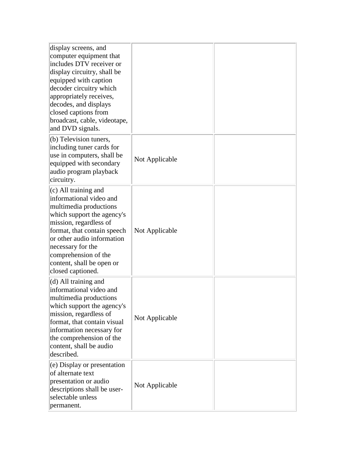| display screens, and<br>computer equipment that<br>includes DTV receiver or<br>display circuitry, shall be<br>equipped with caption<br>decoder circuitry which<br>appropriately receives,<br>decodes, and displays<br>closed captions from<br>broadcast, cable, videotape,<br>and DVD signals.  |                |  |
|-------------------------------------------------------------------------------------------------------------------------------------------------------------------------------------------------------------------------------------------------------------------------------------------------|----------------|--|
| $(b)$ Television tuners,<br>including tuner cards for<br>use in computers, shall be<br>equipped with secondary<br>audio program playback<br>circuitry.                                                                                                                                          | Not Applicable |  |
| $(c)$ All training and<br>informational video and<br>multimedia productions<br>which support the agency's<br>mission, regardless of<br>format, that contain speech<br>or other audio information<br>necessary for the<br>comprehension of the<br>content, shall be open or<br>closed captioned. | Not Applicable |  |
| $(d)$ All training and<br>informational video and<br>multimedia productions<br>which support the agency's<br>mission, regardless of<br>format, that contain visual<br>information necessary for<br>the comprehension of the<br>content, shall be audio<br>described.                            | Not Applicable |  |
| $(e)$ Display or presentation<br>of alternate text<br>presentation or audio<br>descriptions shall be user-<br>selectable unless<br>permanent.                                                                                                                                                   | Not Applicable |  |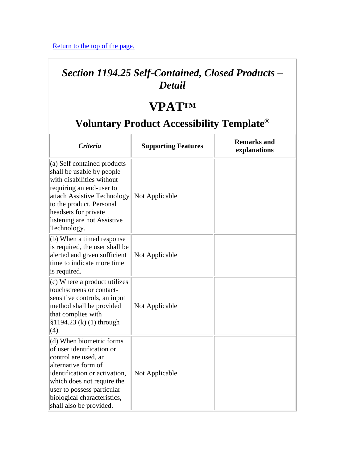### *Section 1194.25 Self-Contained, Closed Products – Detail*

### **VPAT™**

| <b>Criteria</b>                                                                                                                                                                                                                                             | <b>Supporting Features</b> | <b>Remarks and</b><br>explanations |
|-------------------------------------------------------------------------------------------------------------------------------------------------------------------------------------------------------------------------------------------------------------|----------------------------|------------------------------------|
| $(a)$ Self contained products<br>shall be usable by people<br>with disabilities without<br>requiring an end-user to<br>attach Assistive Technology<br>to the product. Personal<br>headsets for private<br>listening are not Assistive<br>Technology.        | Not Applicable             |                                    |
| (b) When a timed response<br>is required, the user shall be<br>alerted and given sufficient<br>time to indicate more time<br>is required.                                                                                                                   | Not Applicable             |                                    |
| (c) Where a product utilizes<br>touchscreens or contact-<br>sensitive controls, an input<br>method shall be provided<br>that complies with<br>\$1194.23 (k) (1) through<br>(4).                                                                             | Not Applicable             |                                    |
| (d) When biometric forms<br>of user identification or<br>control are used, an<br>alternative form of<br>identification or activation,<br>which does not require the<br>user to possess particular<br>biological characteristics,<br>shall also be provided. | Not Applicable             |                                    |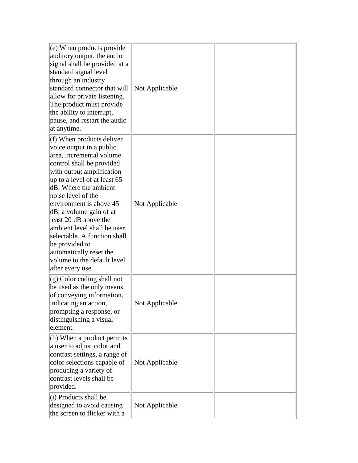| $(e)$ When products provide<br>auditory output, the audio<br>signal shall be provided at a<br>standard signal level<br>through an industry<br>standard connector that will<br>allow for private listening.<br>The product must provide<br>the ability to interrupt,<br>pause, and restart the audio<br>at anytime.                                                                                                                                                         | Not Applicable |  |
|----------------------------------------------------------------------------------------------------------------------------------------------------------------------------------------------------------------------------------------------------------------------------------------------------------------------------------------------------------------------------------------------------------------------------------------------------------------------------|----------------|--|
| $(f)$ When products deliver<br>voice output in a public<br>area, incremental volume<br>control shall be provided<br>with output amplification<br>up to a level of at least 65<br>dB. Where the ambient<br>noise level of the<br>environment is above 45<br>dB, a volume gain of at<br>least 20 dB above the<br>ambient level shall be user<br>selectable. A function shall<br>be provided to<br>automatically reset the<br>volume to the default level<br>after every use. | Not Applicable |  |
| $ (g)$ Color coding shall not<br>be used as the only means<br>of conveying information,<br>indicating an action<br>prompting a response, or<br>distinguishing a visual<br>element.                                                                                                                                                                                                                                                                                         | Not Applicable |  |
| (h) When a product permits<br>a user to adjust color and<br>contrast settings, a range of<br>color selections capable of<br>producing a variety of<br>contrast levels shall be<br>provided.                                                                                                                                                                                                                                                                                | Not Applicable |  |
| (i) Products shall be<br>designed to avoid causing<br>the screen to flicker with a                                                                                                                                                                                                                                                                                                                                                                                         | Not Applicable |  |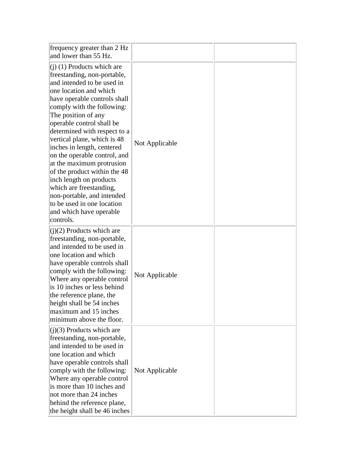| frequency greater than 2 Hz<br>and lower than 55 Hz.                                                                                                                                                                                                                                                                                                                                                                                                                                                                                                                                      |                |  |
|-------------------------------------------------------------------------------------------------------------------------------------------------------------------------------------------------------------------------------------------------------------------------------------------------------------------------------------------------------------------------------------------------------------------------------------------------------------------------------------------------------------------------------------------------------------------------------------------|----------------|--|
| $(i)$ (1) Products which are<br>freestanding, non-portable,<br>and intended to be used in<br>one location and which<br>have operable controls shall<br>comply with the following:<br>The position of any<br>operable control shall be<br>determined with respect to a<br>vertical plane, which is 48<br>inches in length, centered<br>on the operable control, and<br>at the maximum protrusion<br>of the product within the 48<br>inch length on products<br>which are freestanding,<br>non-portable, and intended<br>to be used in one location<br>and which have operable<br>controls. | Not Applicable |  |
| $(j)(2)$ Products which are<br>freestanding, non-portable,<br>and intended to be used in<br>one location and which<br>have operable controls shall<br>comply with the following:<br>Where any operable control<br>is 10 inches or less behind<br>the reference plane, the<br>height shall be 54 inches<br>maximum and 15 inches<br>minimum above the floor.                                                                                                                                                                                                                               | Not Applicable |  |
| $(j)(3)$ Products which are<br>freestanding, non-portable,<br>and intended to be used in<br>one location and which<br>have operable controls shall<br>comply with the following:<br>Where any operable control<br>is more than 10 inches and<br>not more than 24 inches<br>behind the reference plane,<br>the height shall be 46 inches                                                                                                                                                                                                                                                   | Not Applicable |  |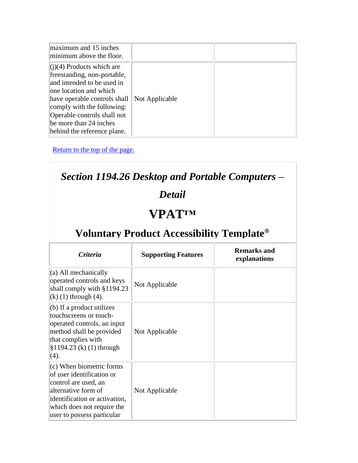| maximum and 15 inches<br>minimum above the floor.                                                                                                                                                                                                                        |                |  |
|--------------------------------------------------------------------------------------------------------------------------------------------------------------------------------------------------------------------------------------------------------------------------|----------------|--|
| $(i)(4)$ Products which are<br>freestanding, non-portable,<br>and intended to be used in<br>one location and which<br>have operable controls shall<br>comply with the following:<br>Operable controls shall not<br>be more than 24 inches<br>behind the reference plane. | Not Applicable |  |

| Section 1194.26 Desktop and Portable Computers –                                                                                                                                                  |                            |                                    |
|---------------------------------------------------------------------------------------------------------------------------------------------------------------------------------------------------|----------------------------|------------------------------------|
| <b>Detail</b><br><b>VPATTM</b>                                                                                                                                                                    |                            |                                    |
|                                                                                                                                                                                                   |                            |                                    |
| <b>Criteria</b>                                                                                                                                                                                   | <b>Supporting Features</b> | <b>Remarks and</b><br>explanations |
| (a) All mechanically<br>operated controls and keys<br>shall comply with §1194.23<br>$(k)$ (1) through (4).                                                                                        | Not Applicable             |                                    |
| (b) If a product utilizes<br>touchscreens or touch-<br>operated controls, an input<br>method shall be provided<br>that complies with<br>\$1194.23 (k) (1) through<br>(4).                         | Not Applicable             |                                    |
| (c) When biometric forms<br>of user identification or<br>control are used, an<br>alternative form of<br>identification or activation,<br>which does not require the<br>user to possess particular | Not Applicable             |                                    |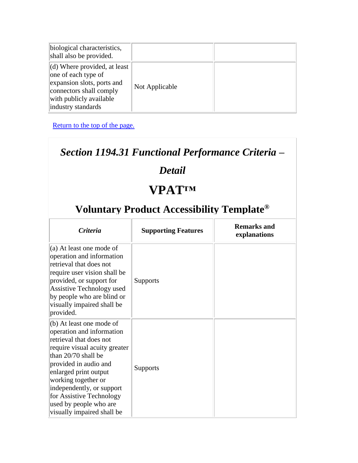| biological characteristics,<br>shall also be provided.                                                                                                                        |                |  |
|-------------------------------------------------------------------------------------------------------------------------------------------------------------------------------|----------------|--|
| $\vert$ (d) Where provided, at least $\vert$<br>one of each type of<br>expansion slots, ports and<br>connectors shall comply<br>with publicly available<br>industry standards | Not Applicable |  |

### *Section 1194.31 Functional Performance Criteria –*

### *Detail*

# **VPAT™**

| <i>Criteria</i>                                                                                                                                                                                                                                                                                                                    | <b>Supporting Features</b> | <b>Remarks and</b><br>explanations |
|------------------------------------------------------------------------------------------------------------------------------------------------------------------------------------------------------------------------------------------------------------------------------------------------------------------------------------|----------------------------|------------------------------------|
| $(a)$ At least one mode of<br>operation and information<br>retrieval that does not<br>require user vision shall be<br>provided, or support for<br>Assistive Technology used<br>by people who are blind or<br>visually impaired shall be<br>provided.                                                                               | <b>Supports</b>            |                                    |
| (b) At least one mode of<br>operation and information<br>retrieval that does not<br>require visual acuity greater<br>than 20/70 shall be<br>provided in audio and<br>enlarged print output<br>working together or<br>independently, or support<br>for Assistive Technology<br>used by people who are<br>visually impaired shall be | <b>Supports</b>            |                                    |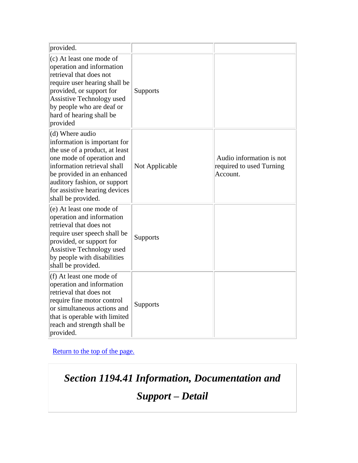| provided.                                                                                                                                                                                                                                                          |                 |                                                                  |
|--------------------------------------------------------------------------------------------------------------------------------------------------------------------------------------------------------------------------------------------------------------------|-----------------|------------------------------------------------------------------|
| (c) At least one mode of<br>operation and information<br>retrieval that does not<br>require user hearing shall be<br>provided, or support for<br>Assistive Technology used<br>by people who are deaf or<br>hard of hearing shall be<br>provided                    | Supports        |                                                                  |
| (d) Where audio<br>information is important for<br>the use of a product, at least<br>one mode of operation and<br>information retrieval shall<br>be provided in an enhanced<br>auditory fashion, or support<br>for assistive hearing devices<br>shall be provided. | Not Applicable  | Audio information is not<br>required to used Turning<br>Account. |
| (e) At least one mode of<br>operation and information<br>retrieval that does not<br>require user speech shall be<br>provided, or support for<br>Assistive Technology used<br>by people with disabilities<br>shall be provided.                                     | <b>Supports</b> |                                                                  |
| (f) At least one mode of<br>operation and information<br>retrieval that does not<br>require fine motor control<br>or simultaneous actions and<br>that is operable with limited<br>reach and strength shall be<br>provided.                                         | <b>Supports</b> |                                                                  |

*Section 1194.41 Information, Documentation and* 

*Support – Detail*